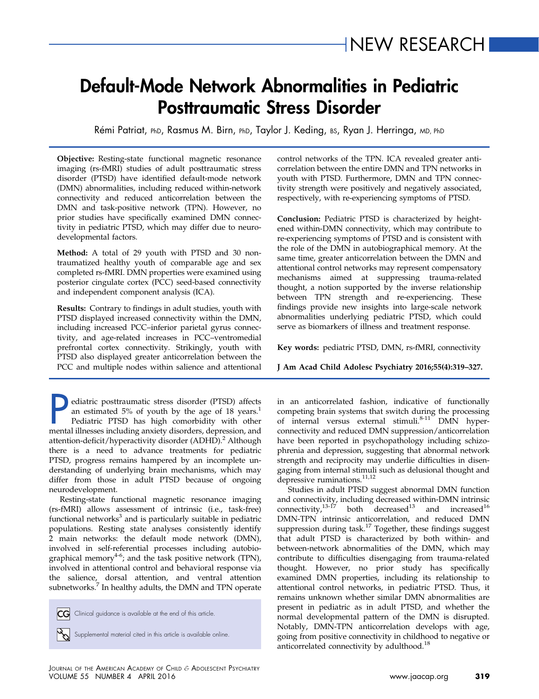# Default-Mode Network Abnormalities in Pediatric Posttraumatic Stress Disorder

Rémi Patriat, PhD, Rasmus M. Birn, PhD, Taylor J. Keding, BS, Ryan J. Herringa, MD, PhD

Objective: Resting-state functional magnetic resonance imaging (rs-fMRI) studies of adult posttraumatic stress disorder (PTSD) have identified default-mode network (DMN) abnormalities, including reduced within-network connectivity and reduced anticorrelation between the DMN and task-positive network (TPN). However, no prior studies have specifically examined DMN connectivity in pediatric PTSD, which may differ due to neurodevelopmental factors.

Method: A total of 29 youth with PTSD and 30 nontraumatized healthy youth of comparable age and sex completed rs-fMRI. DMN properties were examined using posterior cingulate cortex (PCC) seed-based connectivity and independent component analysis (ICA).

Results: Contrary to findings in adult studies, youth with PTSD displayed increased connectivity within the DMN, including increased PCC–inferior parietal gyrus connectivity, and age-related increases in PCC–ventromedial prefrontal cortex connectivity. Strikingly, youth with PTSD also displayed greater anticorrelation between the PCC and multiple nodes within salience and attentional

ediatric posttraumatic stress disorder (PTSD) affects<br>an estimated 5% of youth by the age of 18 years.<sup>1</sup><br>Pediatric PTSD has high comorbidity with other<br>mental illnesses including anxiety disorders, depression, and an estimated 5% of youth by the age of 18 years.<sup>1</sup> Pediatric PTSD has high comorbidity with other mental illnesses including anxiety disorders, depression, and attention-deficit/hyperactivity disorder (ADHD).<sup>[2](#page-7-0)</sup> Although there is a need to advance treatments for pediatric PTSD, progress remains hampered by an incomplete understanding of underlying brain mechanisms, which may differ from those in adult PTSD because of ongoing neurodevelopment.

Resting-state functional magnetic resonance imaging (rs-fMRI) allows assessment of intrinsic (i.e., task-free) functional networks $3$  and is particularly suitable in pediatric populations. Resting state analyses consistently identify 2 main networks: the default mode network (DMN), involved in self-referential processes including autobiographical memory<sup>4-6</sup>; and the task positive network (TPN), involved in attentional control and behavioral response via the salience, dorsal attention, and ventral attention subnetworks.<sup>[7](#page-7-0)</sup> In healthy adults, the DMN and TPN operate

CG Clinical guidance is available at the end of this article.

Supplemental material cited in this article is available online.

control networks of the TPN. ICA revealed greater anticorrelation between the entire DMN and TPN networks in youth with PTSD. Furthermore, DMN and TPN connectivity strength were positively and negatively associated, respectively, with re-experiencing symptoms of PTSD.

Conclusion: Pediatric PTSD is characterized by heightened within-DMN connectivity, which may contribute to re-experiencing symptoms of PTSD and is consistent with the role of the DMN in autobiographical memory. At the same time, greater anticorrelation between the DMN and attentional control networks may represent compensatory mechanisms aimed at suppressing trauma-related thought, a notion supported by the inverse relationship between TPN strength and re-experiencing. These findings provide new insights into large-scale network abnormalities underlying pediatric PTSD, which could serve as biomarkers of illness and treatment response.

Key words: pediatric PTSD, DMN, rs-fMRI, connectivity

J Am Acad Child Adolesc Psychiatry 2016;55(4):319–327.

in an anticorrelated fashion, indicative of functionally competing brain systems that switch during the processing of internal versus external stimuli.<sup>[8-11](#page-7-0)</sup> DMN hyperconnectivity and reduced DMN suppression/anticorrelation have been reported in psychopathology including schizophrenia and depression, suggesting that abnormal network strength and reciprocity may underlie difficulties in disengaging from internal stimuli such as delusional thought and depressive ruminations.  $\real^{11,12}$  $\real^{11,12}$  $\real^{11,12}$ 

Studies in adult PTSD suggest abnormal DMN function and connectivity, including decreased within-DMN intrinsic connectivity, $13-17$  both decreased<sup>[13](#page-7-0)</sup> and increased<sup>[16](#page-7-0)</sup> DMN-TPN intrinsic anticorrelation, and reduced DMN suppression during task. $17$  Together, these findings suggest that adult PTSD is characterized by both within- and between-network abnormalities of the DMN, which may contribute to difficulties disengaging from trauma-related thought. However, no prior study has specifically examined DMN properties, including its relationship to attentional control networks, in pediatric PTSD. Thus, it remains unknown whether similar DMN abnormalities are present in pediatric as in adult PTSD, and whether the normal developmental pattern of the DMN is disrupted. Notably, DMN-TPN anticorrelation develops with age, going from positive connectivity in childhood to negative or anticorrelated connectivity by adulthood.<sup>[18](#page-7-0)</sup>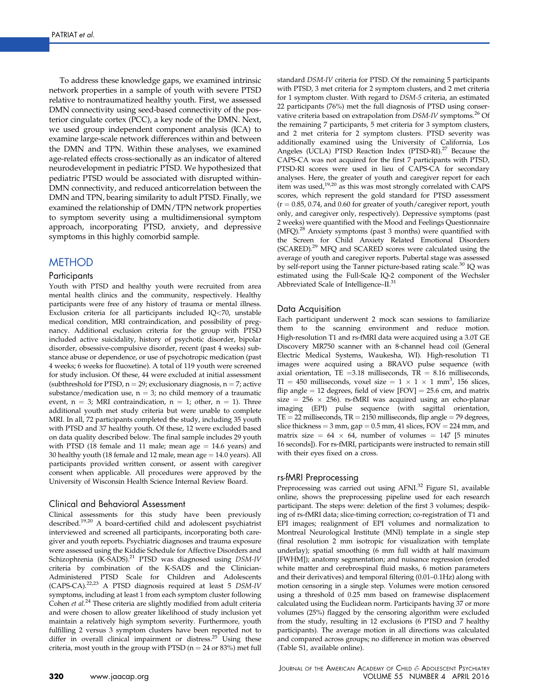To address these knowledge gaps, we examined intrinsic network properties in a sample of youth with severe PTSD relative to nontraumatized healthy youth. First, we assessed DMN connectivity using seed-based connectivity of the posterior cingulate cortex (PCC), a key node of the DMN. Next, we used group independent component analysis (ICA) to examine large-scale network differences within and between the DMN and TPN. Within these analyses, we examined age-related effects cross-sectionally as an indicator of altered neurodevelopment in pediatric PTSD. We hypothesized that pediatric PTSD would be associated with disrupted within-DMN connectivity, and reduced anticorrelation between the DMN and TPN, bearing similarity to adult PTSD. Finally, we examined the relationship of DMN/TPN network properties to symptom severity using a multidimensional symptom approach, incorporating PTSD, anxiety, and depressive symptoms in this highly comorbid sample.

# METHOD

#### **Participants**

Youth with PTSD and healthy youth were recruited from area mental health clinics and the community, respectively. Healthy participants were free of any history of trauma or mental illness. Exclusion criteria for all participants included IQ<70, unstable medical condition, MRI contraindication, and possibility of pregnancy. Additional exclusion criteria for the group with PTSD included active suicidality, history of psychotic disorder, bipolar disorder, obsessive-compulsive disorder, recent (past 4 weeks) substance abuse or dependence, or use of psychotropic medication (past 4 weeks; 6 weeks for fluoxetine). A total of 119 youth were screened for study inclusion. Of these, 44 were excluded at initial assessment (subthreshold for PTSD,  $n = 29$ ; exclusionary diagnosis,  $n = 7$ ; active substance/medication use,  $n = 3$ ; no child memory of a traumatic event,  $n = 3$ ; MRI contraindication,  $n = 1$ ; other,  $n = 1$ ). Three additional youth met study criteria but were unable to complete MRI. In all, 72 participants completed the study, including 35 youth with PTSD and 37 healthy youth. Of these, 12 were excluded based on data quality described below. The final sample includes 29 youth with PTSD (18 female and 11 male; mean age  $= 14.6$  years) and 30 healthy youth (18 female and 12 male, mean age  $= 14.0$  years). All participants provided written consent, or assent with caregiver consent when applicable. All procedures were approved by the University of Wisconsin Health Science Internal Review Board.

#### Clinical and Behavioral Assessment

Clinical assessments for this study have been previously described[.19,20](#page-7-0) A board-certified child and adolescent psychiatrist interviewed and screened all participants, incorporating both caregiver and youth reports. Psychiatric diagnoses and trauma exposure were assessed using the Kiddie Schedule for Affective Disorders and Schizophrenia (K-SADS).<sup>21</sup> PTSD was diagnosed using DSM-IV criteria by combination of the K-SADS and the Clinician-Administered PTSD Scale for Children and Adolescents (CAPS-CA).[22,23](#page-7-0) A PTSD diagnosis required at least 5 DSM-IV symptoms, including at least 1 from each symptom cluster following Cohen et al.<sup>[24](#page-8-0)</sup> These criteria are slightly modified from adult criteria and were chosen to allow greater likelihood of study inclusion yet maintain a relatively high symptom severity. Furthermore, youth fulfilling 2 versus 3 symptom clusters have been reported not to differ in overall clinical impairment or distress.<sup>25</sup> Using these criteria, most youth in the group with PTSD ( $n = 24$  or 83%) met full standard DSM-IV criteria for PTSD. Of the remaining 5 participants with PTSD, 3 met criteria for 2 symptom clusters, and 2 met criteria for 1 symptom cluster. With regard to DSM-5 criteria, an estimated 22 participants (76%) met the full diagnosis of PTSD using conser-vative criteria based on extrapolation from DSM-IV symptoms.<sup>[26](#page-8-0)</sup> Of the remaining 7 participants, 5 met criteria for 3 symptom clusters, and 2 met criteria for 2 symptom clusters. PTSD severity was additionally examined using the University of California, Los Angeles (UCLA) PTSD Reaction Index (PTSD-RI).<sup>[27](#page-8-0)</sup> Because the CAPS-CA was not acquired for the first 7 participants with PTSD, PTSD-RI scores were used in lieu of CAPS-CA for secondary analyses. Here, the greater of youth and caregiver report for each item was used, $19,20$  as this was most strongly correlated with CAPS scores, which represent the gold standard for PTSD assessment  $(r = 0.85, 0.74,$  and 0.60 for greater of youth/caregiver report, youth only, and caregiver only, respectively). Depressive symptoms (past 2 weeks) were quantified with the Mood and Feelings Questionnaire (MFQ).<sup>[28](#page-8-0)</sup> Anxiety symptoms (past 3 months) were quantified with the Screen for Child Anxiety Related Emotional Disorders (SCARED).[29](#page-8-0) MFQ and SCARED scores were calculated using the average of youth and caregiver reports. Pubertal stage was assessed by self-report using the Tanner picture-based rating scale.<sup>30</sup> IQ was estimated using the Full-Scale IQ-2 component of the Wechsler Abbreviated Scale of Intelligence–II.<sup>[31](#page-8-0)</sup>

#### Data Acquisition

Each participant underwent 2 mock scan sessions to familiarize them to the scanning environment and reduce motion. High-resolution T1 and rs-fMRI data were acquired using a 3.0T GE Discovery MR750 scanner with an 8-channel head coil (General Electric Medical Systems, Waukesha, WI). High-resolution T1 images were acquired using a BRAVO pulse sequence (with axial orientation, TE = 3.18 milliseconds, TR =  $8.16$  milliseconds, TI = 450 milliseconds, voxel size =  $1 \times 1 \times 1$  mm<sup>3</sup>, 156 slices, flip angle  $= 12$  degrees, field of view  $[FOV] = 25.6$  cm, and matrix  $size = 256 \times 256$ ). rs-fMRI was acquired using an echo-planar imaging (EPI) pulse sequence (with sagittal orientation,  $TE = 22$  milliseconds,  $TR = 2150$  milliseconds, flip angle = 79 degrees, slice thickness =  $3 \text{ mm}$ , gap =  $0.5 \text{ mm}$ , 41 slices, FOV =  $224 \text{ mm}$ , and matrix size  $= 64 \times 64$ , number of volumes  $= 147$  [5 minutes 16 seconds]). For rs-fMRI, participants were instructed to remain still with their eyes fixed on a cross.

#### rs-fMRI Preprocessing

Preprocessing was carried out using AFNI.<sup>[32](#page-8-0)</sup> Figure S1, available online, shows the preprocessing pipeline used for each research participant. The steps were: deletion of the first 3 volumes; despiking of rs-fMRI data; slice-timing correction; co-registration of T1 and EPI images; realignment of EPI volumes and normalization to Montreal Neurological Institute (MNI) template in a single step (final resolution 2 mm isotropic for visualization with template underlay); spatial smoothing (6 mm full width at half maximum [FWHM]); anatomy segmentation; and nuisance regression (eroded white matter and cerebrospinal fluid masks, 6 motion parameters and their derivatives) and temporal filtering (0.01–0.1Hz) along with motion censoring in a single step. Volumes were motion censored using a threshold of 0.25 mm based on framewise displacement calculated using the Euclidean norm. Participants having 37 or more volumes (25%) flagged by the censoring algorithm were excluded from the study, resulting in 12 exclusions (6 PTSD and 7 healthy participants). The average motion in all directions was calculated and compared across groups; no difference in motion was observed (Table S1, available online).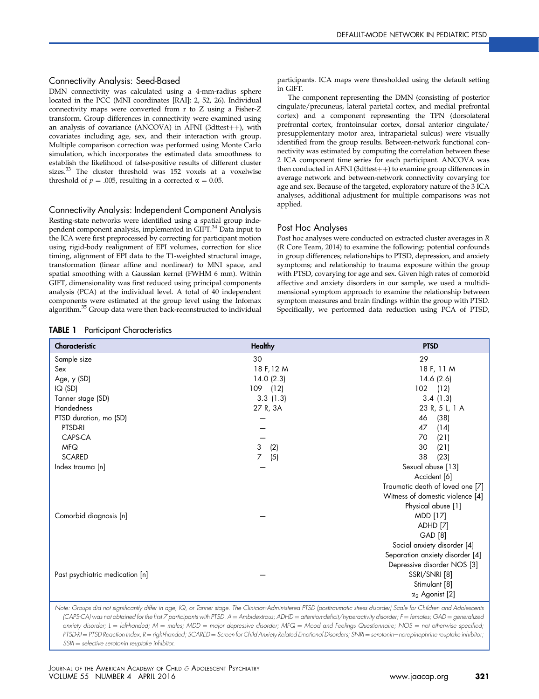# <span id="page-2-0"></span>Connectivity Analysis: Seed-Based

TABLE 1 Participant Characteristics

DMN connectivity was calculated using a 4-mm-radius sphere located in the PCC (MNI coordinates [RAI]: 2, 52, 26). Individual connectivity maps were converted from r to Z using a Fisher-Z transform. Group differences in connectivity were examined using an analysis of covariance (ANCOVA) in AFNI (3dttest $++$ ), with covariates including age, sex, and their interaction with group. Multiple comparison correction was performed using Monte Carlo simulation, which incorporates the estimated data smoothness to establish the likelihood of false-positive results of different cluster sizes.<sup>33</sup> The cluster threshold was 152 voxels at a voxelwise threshold of  $p = .005$ , resulting in a corrected  $\alpha = 0.05$ .

# Connectivity Analysis: Independent Component Analysis

Resting-state networks were identified using a spatial group independent component analysis, implemented in GIFT.<sup>34</sup> Data input to the ICA were first preprocessed by correcting for participant motion using rigid-body realignment of EPI volumes, correction for slice timing, alignment of EPI data to the T1-weighted structural image, transformation (linear affine and nonlinear) to MNI space, and spatial smoothing with a Gaussian kernel (FWHM 6 mm). Within GIFT, dimensionality was first reduced using principal components analysis (PCA) at the individual level. A total of 40 independent components were estimated at the group level using the Infomax algorithm[.35](#page-8-0) Group data were then back-reconstructed to individual

participants. ICA maps were thresholded using the default setting in GIFT.

The component representing the DMN (consisting of posterior cingulate/precuneus, lateral parietal cortex, and medial prefrontal cortex) and a component representing the TPN (dorsolateral prefrontal cortex, frontoinsular cortex, dorsal anterior cingulate/ presupplementary motor area, intraparietal sulcus) were visually identified from the group results. Between-network functional connectivity was estimated by computing the correlation between these 2 ICA component time series for each participant. ANCOVA was then conducted in AFNI (3dttest $++$ ) to examine group differences in average network and between-network connectivity covarying for age and sex. Because of the targeted, exploratory nature of the 3 ICA analyses, additional adjustment for multiple comparisons was not applied.

# Post Hoc Analyses

Post hoc analyses were conducted on extracted cluster averages in R (R Core Team, 2014) to examine the following: potential confounds in group differences; relationships to PTSD, depression, and anxiety symptoms; and relationship to trauma exposure within the group with PTSD, covarying for age and sex. Given high rates of comorbid affective and anxiety disorders in our sample, we used a multidimensional symptom approach to examine the relationship between symptom measures and brain findings within the group with PTSD. Specifically, we performed data reduction using PCA of PTSD,

| <b>Characteristic</b>           | <b>Healthy</b> | <b>PTSD</b>                                                                                                                                                               |
|---------------------------------|----------------|---------------------------------------------------------------------------------------------------------------------------------------------------------------------------|
| Sample size                     | 30             | 29                                                                                                                                                                        |
| Sex                             | 18 F, 12 M     | 18 F, 11 M                                                                                                                                                                |
| Age, y (SD)                     | 14.0(2.3)      | 14.6(2.6)                                                                                                                                                                 |
| IQ (SD)                         | 109 (12)       | $102$ $(12)$                                                                                                                                                              |
| Tanner stage (SD)               | 3.3(1.3)       | 3.4(1.3)                                                                                                                                                                  |
| Handedness                      | 27 R, 3A       | 23 R, 5 L, 1 A                                                                                                                                                            |
| PTSD duration, mo (SD)          |                | (38)<br>46                                                                                                                                                                |
| PTSD-RI                         |                | 47<br>(14)                                                                                                                                                                |
| CAPS-CA                         |                | (21)<br>70                                                                                                                                                                |
| <b>MFQ</b>                      | 3<br>(2)       | (21)<br>30                                                                                                                                                                |
| <b>SCARED</b>                   | (5)<br>7       | 38<br>(23)                                                                                                                                                                |
| Index trauma [n]                |                | Sexual abuse [13]                                                                                                                                                         |
|                                 |                | Accident [6]                                                                                                                                                              |
|                                 |                | Traumatic death of loved one [7]                                                                                                                                          |
|                                 |                | Witness of domestic violence [4]                                                                                                                                          |
|                                 |                | Physical abuse [1]                                                                                                                                                        |
| Comorbid diagnosis [n]          |                | MDD [17]                                                                                                                                                                  |
|                                 |                | ADHD <sub>[7]</sub>                                                                                                                                                       |
|                                 |                | GAD [8]                                                                                                                                                                   |
|                                 |                | Social anxiety disorder [4]                                                                                                                                               |
|                                 |                | Separation anxiety disorder [4]                                                                                                                                           |
|                                 |                | Depressive disorder NOS [3]                                                                                                                                               |
| Past psychiatric medication [n] |                | SSRI/SNRI <sup>[8]</sup>                                                                                                                                                  |
|                                 | Stimulant [8]  |                                                                                                                                                                           |
|                                 |                | $\alpha_2$ Agonist [2]                                                                                                                                                    |
|                                 |                | Note: Groups did not significantly differ in age, IQ, or Tanner stage. The Clinician-Administered PTSD (posttraumatic stress disorder) Scale for Children and Adolescents |

(CAPS-CA) was not obtained for the first 7 participants with PTSD. A = Ambidextrous; ADHD = attention-deficit/hyperactivity disorder; F = females; GAD = generalized anxiety disorder; L = left-handed; M = males; MDD = major depressive disorder; MFQ = Mood and Feelings Questionnaire; NOS = not otherwise specified; PTSD-RI = PTSD Reaction Index; R = right-handed; SCARED = Screen for Child Anxiety Related Emotional Disorders; SNRI = serotonin-norepinephrine reuptake inhibitor;  $SSRI =$  selective serotonin reuptake inhibitor.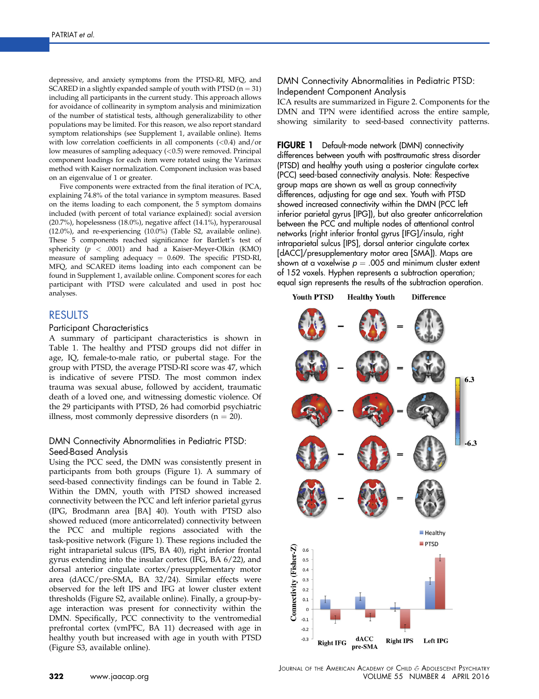depressive, and anxiety symptoms from the PTSD-RI, MFQ, and SCARED in a slightly expanded sample of youth with PTSD  $(n = 31)$ including all participants in the current study. This approach allows for avoidance of collinearity in symptom analysis and minimization of the number of statistical tests, although generalizability to other populations may be limited. For this reason, we also report standard symptom relationships (see Supplement 1, available online). Items with low correlation coefficients in all components  $(<0.4)$  and/or low measures of sampling adequacy (<0.5) were removed. Principal component loadings for each item were rotated using the Varimax method with Kaiser normalization. Component inclusion was based on an eigenvalue of 1 or greater.

Five components were extracted from the final iteration of PCA, explaining 74.8% of the total variance in symptom measures. Based on the items loading to each component, the 5 symptom domains included (with percent of total variance explained): social aversion (20.7%), hopelessness (18.0%), negative affect (14.1%), hyperarousal (12.0%), and re-experiencing (10.0%) (Table S2, available online). These 5 components reached significance for Bartlett's test of sphericity ( $p < .0001$ ) and had a Kaiser-Meyer-Olkin (KMO) measure of sampling adequacy  $= 0.609$ . The specific PTSD-RI, MFQ, and SCARED items loading into each component can be found in Supplement 1, available online. Component scores for each participant with PTSD were calculated and used in post hoc analyses.

# RESULTS

#### Participant Characteristics

A summary of participant characteristics is shown in [Table 1](#page-2-0). The healthy and PTSD groups did not differ in age, IQ, female-to-male ratio, or pubertal stage. For the group with PTSD, the average PTSD-RI score was 47, which is indicative of severe PTSD. The most common index trauma was sexual abuse, followed by accident, traumatic death of a loved one, and witnessing domestic violence. Of the 29 participants with PTSD, 26 had comorbid psychiatric illness, most commonly depressive disorders ( $n = 20$ ).

# DMN Connectivity Abnormalities in Pediatric PTSD: Seed-Based Analysis

Using the PCC seed, the DMN was consistently present in participants from both groups (Figure 1). A summary of seed-based connectivity findings can be found in [Table 2](#page-4-0). Within the DMN, youth with PTSD showed increased connectivity between the PCC and left inferior parietal gyrus (IPG, Brodmann area [BA] 40). Youth with PTSD also showed reduced (more anticorrelated) connectivity between the PCC and multiple regions associated with the task-positive network (Figure 1). These regions included the right intraparietal sulcus (IPS, BA 40), right inferior frontal gyrus extending into the insular cortex (IFG, BA 6/22), and dorsal anterior cingulate cortex/presupplementary motor area (dACC/pre-SMA, BA 32/24). Similar effects were observed for the left IPS and IFG at lower cluster extent thresholds (Figure S2, available online). Finally, a group-byage interaction was present for connectivity within the DMN. Specifically, PCC connectivity to the ventromedial prefrontal cortex (vmPFC, BA 11) decreased with age in healthy youth but increased with age in youth with PTSD (Figure S3, available online).

# DMN Connectivity Abnormalities in Pediatric PTSD: Independent Component Analysis

ICA results are summarized in [Figure 2](#page-5-0). Components for the DMN and TPN were identified across the entire sample, showing similarity to seed-based connectivity patterns.

FIGURE 1 Default-mode network (DMN) connectivity differences between youth with posttraumatic stress disorder (PTSD) and healthy youth using a posterior cingulate cortex (PCC) seed-based connectivity analysis. Note: Respective group maps are shown as well as group connectivity differences, adjusting for age and sex. Youth with PTSD showed increased connectivity within the DMN (PCC left inferior parietal gyrus [IPG]), but also greater anticorrelation between the PCC and multiple nodes of attentional control networks (right inferior frontal gyrus [IFG]/insula, right intraparietal sulcus [IPS], dorsal anterior cingulate cortex [dACC]/presupplementary motor area [SMA]). Maps are shown at a voxelwise  $p = .005$  and minimum cluster extent of 152 voxels. Hyphen represents a subtraction operation; equal sign represents the results of the subtraction operation.

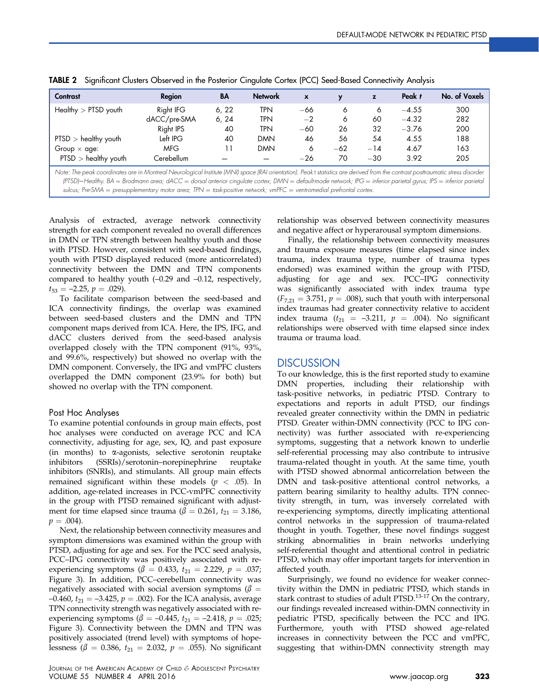| <b>Contrast</b>                                                                                                                                                                  | Region       | BA    | <b>Network</b> | X     |       |       | Peak t  | No. of Voxels |
|----------------------------------------------------------------------------------------------------------------------------------------------------------------------------------|--------------|-------|----------------|-------|-------|-------|---------|---------------|
| Healthy $>$ PTSD youth                                                                                                                                                           | Right IFG    | 6, 22 | <b>TPN</b>     | $-66$ | 6     | 6     | $-4.55$ | 300           |
|                                                                                                                                                                                  | dACC/pre-SMA | 6, 24 | <b>TPN</b>     | $-2$  | 6     | 60    | $-4.32$ | 282           |
|                                                                                                                                                                                  | Right IPS    | 40    | <b>TPN</b>     | $-60$ | 26    | 32    | $-3.76$ | 200           |
| $PTSD >$ healthy youth                                                                                                                                                           | Left IPG     | 40    | <b>DMN</b>     | 46    | 56    | 54    | 4.55    | 188           |
| Group $\times$ age:                                                                                                                                                              | <b>MFG</b>   | 11    | <b>DMN</b>     | 6     | $-62$ | $-14$ | 4.67    | 163           |
| $PTSD$ > healthy youth                                                                                                                                                           | Cerebellum   |       |                | $-26$ | 70    | $-30$ | 3.92    | 205           |
| Note: The peak coordinates are in Montroal Nourological Instituto (MNII) space (RAI orientation). Poak t statistics are derived from the contrast positiournatic stross disorder |              |       |                |       |       |       |         |               |

<span id="page-4-0"></span>TABLE 2 Significant Clusters Observed in the Posterior Cingulate Cortex (PCC) Seed-Based Connectivity Analysis

ngical Institute (MNI) space (RAI orientation). Peak t statistics are derived from the contrast <sub>i</sub> (PTSD)—Healthy. BA = Brodmann area; dACC = dorsal anterior cingulate cortex; DMN = default-mode network; IPG = inferior parietal gyrus; IPS = inferior parietal sulcus; Pre-SMA = presupplementary motor area;  $TPN =$  task-positive network; vmPFC = ventromedial prefrontal cortex.

Analysis of extracted, average network connectivity strength for each component revealed no overall differences in DMN or TPN strength between healthy youth and those with PTSD. However, consistent with seed-based findings, youth with PTSD displayed reduced (more anticorrelated) connectivity between the DMN and TPN components compared to healthy youth (–0.29 and –0.12, respectively,  $t_{53} = -2.25$ ,  $p = .029$ ).

To facilitate comparison between the seed-based and ICA connectivity findings, the overlap was examined between seed-based clusters and the DMN and TPN component maps derived from ICA. Here, the IPS, IFG, and dACC clusters derived from the seed-based analysis overlapped closely with the TPN component (91%, 93%, and 99.6%, respectively) but showed no overlap with the DMN component. Conversely, the IPG and vmPFC clusters overlapped the DMN component (23.9% for both) but showed no overlap with the TPN component.

# Post Hoc Analyses

To examine potential confounds in group main effects, post hoc analyses were conducted on average PCC and ICA connectivity, adjusting for age, sex, IQ, and past exposure (in months) to a-agonists, selective serotonin reuptake inhibitors (SSRIs)/serotonin–norepinephrine reuptake inhibitors (SNRIs), and stimulants. All group main effects remained significant within these models ( $p < .05$ ). In addition, age-related increases in PCC-vmPFC connectivity in the group with PTSD remained significant with adjustment for time elapsed since trauma ( $\beta = 0.261$ ,  $t_{21} = 3.186$ ,  $p = .004$ ).

Next, the relationship between connectivity measures and symptom dimensions was examined within the group with PTSD, adjusting for age and sex. For the PCC seed analysis, PCC–IPG connectivity was positively associated with reexperiencing symptoms ( $\beta = 0.433$ ,  $t_{21} = 2.229$ ,  $p = .037$ ; [Figure 3\)](#page-6-0). In addition, PCC–cerebellum connectivity was negatively associated with social aversion symptoms ( $\beta$  = –0.460,  $t_{21} = -3.425$ ,  $p = .002$ ). For the ICA analysis, average TPN connectivity strength was negatively associated with reexperiencing symptoms ( $\beta = -0.445$ ,  $t_{21} = -2.418$ ,  $p = .025$ ; [Figure 3](#page-6-0)). Connectivity between the DMN and TPN was positively associated (trend level) with symptoms of hopelessness ( $\beta = 0.386$ ,  $t_{21} = 2.032$ ,  $p = .055$ ). No significant relationship was observed between connectivity measures and negative affect or hyperarousal symptom dimensions.

Finally, the relationship between connectivity measures and trauma exposure measures (time elapsed since index trauma, index trauma type, number of trauma types endorsed) was examined within the group with PTSD, adjusting for age and sex. PCC–IPG connectivity was significantly associated with index trauma type  $(F_{7,21} = 3.751, p = .008)$ , such that youth with interpersonal index traumas had greater connectivity relative to accident index trauma ( $t_{21} = -3.211$ ,  $p = .004$ ). No significant relationships were observed with time elapsed since index trauma or trauma load.

# **DISCUSSION**

To our knowledge, this is the first reported study to examine DMN properties, including their relationship with task-positive networks, in pediatric PTSD. Contrary to expectations and reports in adult PTSD, our findings revealed greater connectivity within the DMN in pediatric PTSD. Greater within-DMN connectivity (PCC to IPG connectivity) was further associated with re-experiencing symptoms, suggesting that a network known to underlie self-referential processing may also contribute to intrusive trauma-related thought in youth. At the same time, youth with PTSD showed abnormal anticorrelation between the DMN and task-positive attentional control networks, a pattern bearing similarity to healthy adults. TPN connectivity strength, in turn, was inversely correlated with re-experiencing symptoms, directly implicating attentional control networks in the suppression of trauma-related thought in youth. Together, these novel findings suggest striking abnormalities in brain networks underlying self-referential thought and attentional control in pediatric PTSD, which may offer important targets for intervention in affected youth.

Surprisingly, we found no evidence for weaker connectivity within the DMN in pediatric PTSD, which stands in stark contrast to studies of adult PTSD.<sup>[13-17](#page-7-0)</sup> On the contrary, our findings revealed increased within-DMN connectivity in pediatric PTSD, specifically between the PCC and IPG. Furthermore, youth with PTSD showed age-related increases in connectivity between the PCC and vmPFC, suggesting that within-DMN connectivity strength may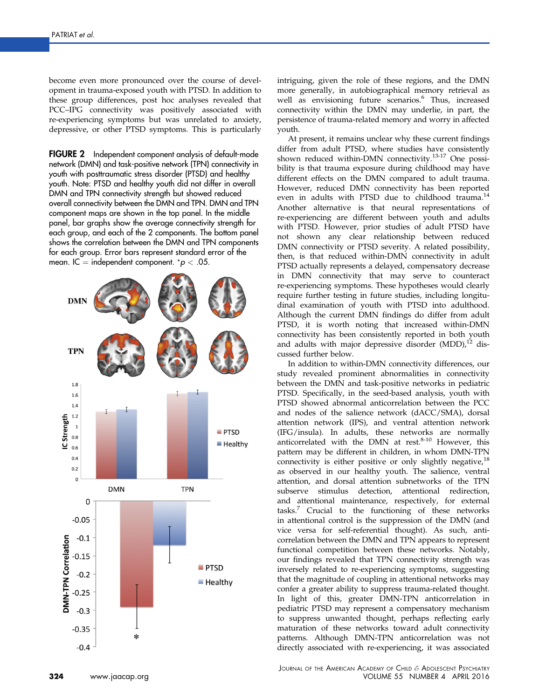<span id="page-5-0"></span>become even more pronounced over the course of development in trauma-exposed youth with PTSD. In addition to these group differences, post hoc analyses revealed that PCC–IPG connectivity was positively associated with re-experiencing symptoms but was unrelated to anxiety, depressive, or other PTSD symptoms. This is particularly

FIGURE 2 Independent component analysis of default-mode network (DMN) and task-positive network (TPN) connectivity in youth with posttraumatic stress disorder (PTSD) and healthy youth. Note: PTSD and healthy youth did not differ in overall DMN and TPN connectivity strength but showed reduced overall connectivity between the DMN and TPN. DMN and TPN component maps are shown in the top panel. In the middle panel, bar graphs show the average connectivity strength for each group, and each of the 2 components. The bottom panel shows the correlation between the DMN and TPN components for each group. Error bars represent standard error of the mean. IC = independent component.  $p < .05$ .



intriguing, given the role of these regions, and the DMN more generally, in autobiographical memory retrieval as well as envisioning future scenarios.<sup>[6](#page-7-0)</sup> Thus, increased connectivity within the DMN may underlie, in part, the persistence of trauma-related memory and worry in affected youth.

At present, it remains unclear why these current findings differ from adult PTSD, where studies have consistently shown reduced within-DMN connectivity.<sup>[13-17](#page-7-0)</sup> One possibility is that trauma exposure during childhood may have different effects on the DMN compared to adult trauma. However, reduced DMN connectivity has been reported even in adults with PTSD due to childhood trauma.<sup>14</sup> Another alternative is that neural representations of re-experiencing are different between youth and adults with PTSD. However, prior studies of adult PTSD have not shown any clear relationship between reduced DMN connectivity or PTSD severity. A related possibility, then, is that reduced within-DMN connectivity in adult PTSD actually represents a delayed, compensatory decrease in DMN connectivity that may serve to counteract re-experiencing symptoms. These hypotheses would clearly require further testing in future studies, including longitudinal examination of youth with PTSD into adulthood. Although the current DMN findings do differ from adult PTSD, it is worth noting that increased within-DMN connectivity has been consistently reported in both youth and adults with major depressive disorder  $(MDD)$ ,<sup>12</sup> discussed further below.

In addition to within-DMN connectivity differences, our study revealed prominent abnormalities in connectivity between the DMN and task-positive networks in pediatric PTSD. Specifically, in the seed-based analysis, youth with PTSD showed abnormal anticorrelation between the PCC and nodes of the salience network (dACC/SMA), dorsal attention network (IPS), and ventral attention network (IFG/insula). In adults, these networks are normally anticorrelated with the DMN at rest. $8-10$  However, this pattern may be different in children, in whom DMN-TPN connectivity is either positive or only slightly negative, $^{18}$  $^{18}$  $^{18}$ as observed in our healthy youth. The salience, ventral attention, and dorsal attention subnetworks of the TPN subserve stimulus detection, attentional redirection, and attentional maintenance, respectively, for external tasks. $\frac{7}{7}$  $\frac{7}{7}$  $\frac{7}{7}$  Crucial to the functioning of these networks in attentional control is the suppression of the DMN (and vice versa for self-referential thought). As such, anticorrelation between the DMN and TPN appears to represent functional competition between these networks. Notably, our findings revealed that TPN connectivity strength was inversely related to re-experiencing symptoms, suggesting that the magnitude of coupling in attentional networks may confer a greater ability to suppress trauma-related thought. In light of this, greater DMN-TPN anticorrelation in pediatric PTSD may represent a compensatory mechanism to suppress unwanted thought, perhaps reflecting early maturation of these networks toward adult connectivity patterns. Although DMN-TPN anticorrelation was not directly associated with re-experiencing, it was associated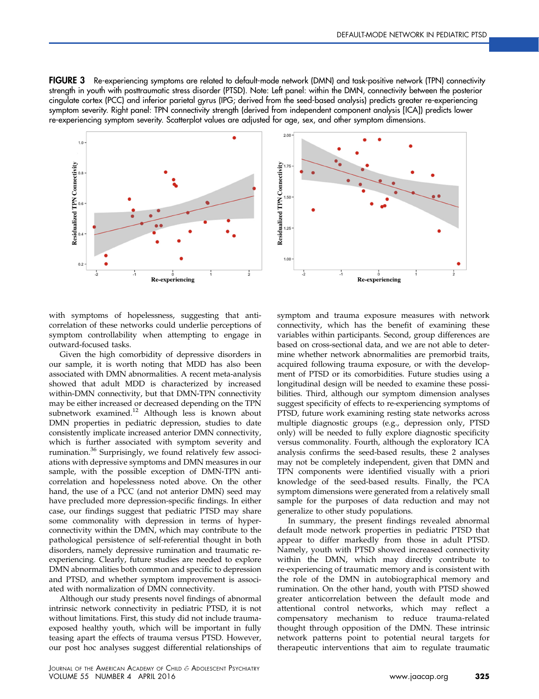<span id="page-6-0"></span>FIGURE 3 Re-experiencing symptoms are related to default-mode network (DMN) and task-positive network (TPN) connectivity strength in youth with posttraumatic stress disorder (PTSD). Note: Left panel: within the DMN, connectivity between the posterior cingulate cortex (PCC) and inferior parietal gyrus (IPG; derived from the seed-based analysis) predicts greater re-experiencing symptom severity. Right panel: TPN connectivity strength (derived from independent component analysis [ICA]) predicts lower re-experiencing symptom severity. Scatterplot values are adjusted for age, sex, and other symptom dimensions.



with symptoms of hopelessness, suggesting that anticorrelation of these networks could underlie perceptions of symptom controllability when attempting to engage in outward-focused tasks.

Given the high comorbidity of depressive disorders in our sample, it is worth noting that MDD has also been associated with DMN abnormalities. A recent meta-analysis showed that adult MDD is characterized by increased within-DMN connectivity, but that DMN-TPN connectivity may be either increased or decreased depending on the TPN subnetwork examined.<sup>[12](#page-7-0)</sup> Although less is known about DMN properties in pediatric depression, studies to date consistently implicate increased anterior DMN connectivity, which is further associated with symptom severity and rumination.<sup>[36](#page-8-0)</sup> Surprisingly, we found relatively few associations with depressive symptoms and DMN measures in our sample, with the possible exception of DMN-TPN anticorrelation and hopelessness noted above. On the other hand, the use of a PCC (and not anterior DMN) seed may have precluded more depression-specific findings. In either case, our findings suggest that pediatric PTSD may share some commonality with depression in terms of hyperconnectivity within the DMN, which may contribute to the pathological persistence of self-referential thought in both disorders, namely depressive rumination and traumatic reexperiencing. Clearly, future studies are needed to explore DMN abnormalities both common and specific to depression and PTSD, and whether symptom improvement is associated with normalization of DMN connectivity.

Although our study presents novel findings of abnormal intrinsic network connectivity in pediatric PTSD, it is not without limitations. First, this study did not include traumaexposed healthy youth, which will be important in fully teasing apart the effects of trauma versus PTSD. However, our post hoc analyses suggest differential relationships of symptom and trauma exposure measures with network connectivity, which has the benefit of examining these variables within participants. Second, group differences are based on cross-sectional data, and we are not able to determine whether network abnormalities are premorbid traits, acquired following trauma exposure, or with the development of PTSD or its comorbidities. Future studies using a longitudinal design will be needed to examine these possibilities. Third, although our symptom dimension analyses suggest specificity of effects to re-experiencing symptoms of PTSD, future work examining resting state networks across multiple diagnostic groups (e.g., depression only, PTSD only) will be needed to fully explore diagnostic specificity versus commonality. Fourth, although the exploratory ICA analysis confirms the seed-based results, these 2 analyses may not be completely independent, given that DMN and TPN components were identified visually with a priori knowledge of the seed-based results. Finally, the PCA symptom dimensions were generated from a relatively small sample for the purposes of data reduction and may not generalize to other study populations.

In summary, the present findings revealed abnormal default mode network properties in pediatric PTSD that appear to differ markedly from those in adult PTSD. Namely, youth with PTSD showed increased connectivity within the DMN, which may directly contribute to re-experiencing of traumatic memory and is consistent with the role of the DMN in autobiographical memory and rumination. On the other hand, youth with PTSD showed greater anticorrelation between the default mode and attentional control networks, which may reflect a compensatory mechanism to reduce trauma-related thought through opposition of the DMN. These intrinsic network patterns point to potential neural targets for therapeutic interventions that aim to regulate traumatic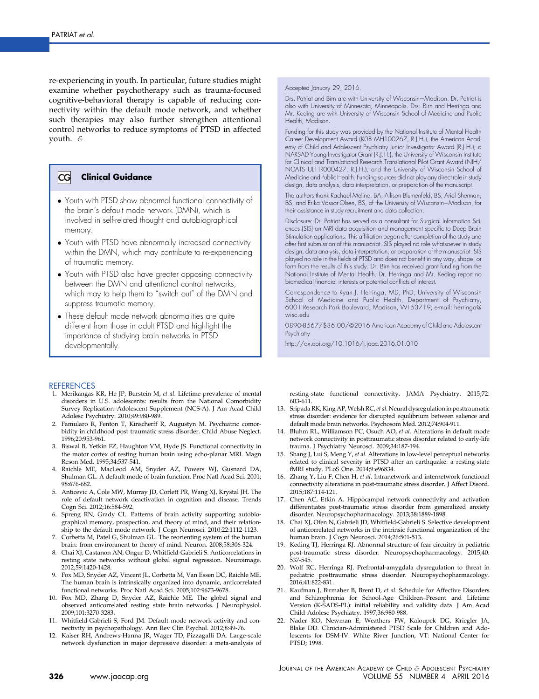<span id="page-7-0"></span>re-experiencing in youth. In particular, future studies might examine whether psychotherapy such as trauma-focused cognitive-behavioral therapy is capable of reducing connectivity within the default mode network, and whether such therapies may also further strengthen attentional control networks to reduce symptoms of PTSD in affected youth. &

#### $|CG|$ Clinical Guidance

- Youth with PTSD show abnormal functional connectivity of the brain's default mode network (DMN), which is involved in self-related thought and autobiographical memory.
- Youth with PTSD have abnormally increased connectivity within the DMN, which may contribute to re-experiencing of traumatic memory.
- Youth with PTSD also have greater opposing connectivity between the DMN and attentional control networks, which may to help them to "switch out" of the DMN and suppress traumatic memory.
- These default mode network abnormalities are quite different from those in adult PTSD and highlight the importance of studying brain networks in PTSD developmentally.

#### Accepted January 29, 2016.

Drs. Patriat and Birn are with University of Wisconsin-Madison. Dr. Patriat is also with University of Minnesota, Minneapolis. Drs. Birn and Herringa and Mr. Keding are with University of Wisconsin School of Medicine and Public Health, Madison.

Funding for this study was provided by the National Institute of Mental Health Career Development Award (K08 MH100267, R.J.H.), the American Academy of Child and Adolescent Psychiatry Junior Investigator Award (R.J.H.), a NARSAD Young Investigator Grant (R.J.H.), the University of Wisconsin Institute for Clinical and Translational Research Translational Pilot Grant Award (NIH/ NCATS UL1TR000427, R.J.H.), and the University of Wisconsin School of Medicine and Public Health. Funding sources did not play any direct role in study design, data analysis, data interpretation, or preparation of the manuscript.

The authors thank Rachael Meline, BA, Allison Blumenfeld, BS, Ariel Sherman, BS, and Erika Vassar-Olsen, BS, of the University of Wisconsin-Madison, for their assistance in study recruitment and data collection.

Disclosure: Dr. Patriat has served as a consultant for Surgical Information Sciences (SIS) on MRI data acquisition and management specific to Deep Brain Stimulation applications. This affiliation began after completion of the study and after first submission of this manuscript. SIS played no role whatsoever in study design, data analysis, data interpretation, or preparation of the manuscript. SIS played no role in the fields of PTSD and does not benefit in any way, shape, or form from the results of this study. Dr. Birn has received grant funding from the National Institute of Mental Health. Dr. Herringa and Mr. Keding report no biomedical financial interests or potential conflicts of interest.

Correspondence to Ryan J. Herringa, MD, PhD, University of Wisconsin School of Medicine and Public Health, Department of Psychiatry, 6001 Research Park Boulevard, Madison, WI 53719; e-mail: [herringa@](mailto:herringa@wisc.edu) [wisc.edu](mailto:herringa@wisc.edu)

0890-8567/\$36.00/@2016 American Academy of Child and Adolescent **Psychiatry** 

<http://dx.doi.org/10.1016/j.jaac.2016.01.010>

#### **REFERENCES**

- 1. Merikangas KR, He JP, Burstein M, et al. Lifetime prevalence of mental disorders in U.S. adolescents: results from the National Comorbidity Survey Replication–Adolescent Supplement (NCS-A). J Am Acad Child Adolesc Psychiatry. 2010;49:980-989.
- 2. Famularo R, Fenton T, Kinscherff R, Augustyn M. Psychiatric comorbidity in childhood post traumatic stress disorder. Child Abuse Neglect. 1996;20:953-961.
- 3. Biswal B, Yetkin FZ, Haughton VM, Hyde JS. Functional connectivity in the motor cortex of resting human brain using echo-planar MRI. Magn Reson Med. 1995;34:537-541.
- 4. Raichle ME, MacLeod AM, Snyder AZ, Powers WJ, Gusnard DA, Shulman GL. A default mode of brain function. Proc Natl Acad Sci. 2001; 98:676-682.
- 5. Anticevic A, Cole MW, Murray JD, Corlett PR, Wang XJ, Krystal JH. The role of default network deactivation in cognition and disease. Trends Cogn Sci. 2012;16:584-592.
- 6. Spreng RN, Grady CL. Patterns of brain activity supporting autobiographical memory, prospection, and theory of mind, and their relationship to the default mode network. J Cogn Neurosci. 2010;22:1112-1123.
- 7. Corbetta M, Patel G, Shulman GL. The reorienting system of the human brain: from environment to theory of mind. Neuron. 2008;58:306-324.
- 8. Chai XJ, Castanon AN, Ongur D, Whitfield-Gabrieli S. Anticorrelations in resting state networks without global signal regression. Neuroimage. 2012;59:1420-1428.
- 9. Fox MD, Snyder AZ, Vincent JL, Corbetta M, Van Essen DC, Raichle ME. The human brain is intrinsically organized into dynamic, anticorrelated functional networks. Proc Natl Acad Sci. 2005;102:9673-9678.
- 10. Fox MD, Zhang D, Snyder AZ, Raichle ME. The global signal and observed anticorrelated resting state brain networks. J Neurophysiol. 2009;101:3270-3283.
- 11. Whitfield-Gabrieli S, Ford JM. Default mode network activity and connectivity in psychopathology. Ann Rev Clin Psychol. 2012;8:49-76.
- 12. Kaiser RH, Andrews-Hanna JR, Wager TD, Pizzagalli DA. Large-scale network dysfunction in major depressive disorder: a meta-analysis of

resting-state functional connectivity. JAMA Psychiatry. 2015;72: 603-611.

- 13. Sripada RK, King AP, Welsh RC, et al. Neural dysregulation in posttraumatic stress disorder: evidence for disrupted equilibrium between salience and default mode brain networks. Psychosom Med. 2012;74:904-911.
- 14. Bluhm RL, Williamson PC, Osuch AO, et al. Alterations in default mode network connectivity in posttraumatic stress disorder related to early-life trauma. J Psychiatry Neurosci. 2009;34:187-194.
- 15. Shang J, Lui S, Meng Y, et al. Alterations in low-level perceptual networks related to clinical severity in PTSD after an earthquake: a resting-state fMRI study. PLoS One. 2014;9:e96834.
- 16. Zhang Y, Liu F, Chen H, et al. Intranetwork and internetwork functional connectivity alterations in post-traumatic stress disorder. J Affect Disord. 2015;187:114-121.
- 17. Chen AC, Etkin A. Hippocampal network connectivity and activation differentiates post-traumatic stress disorder from generalized anxiety disorder. Neuropsychopharmacology. 2013;38:1889-1898.
- 18. Chai XJ, Ofen N, Gabrieli JD, Whitfield-Gabrieli S. Selective development of anticorrelated networks in the intrinsic functional organization of the human brain. J Cogn Neurosci. 2014;26:501-513.
- 19. Keding TJ, Herringa RJ. Abnormal structure of fear circuitry in pediatric post-traumatic stress disorder. Neuropsychopharmacology. 2015;40: 537-545.
- 20. Wolf RC, Herringa RJ. Prefrontal-amygdala dysregulation to threat in pediatric posttraumatic stress disorder. Neuropsychopharmacology. 2016;41:822-831.
- 21. Kaufman J, Birmaher B, Brent D, et al. Schedule for Affective Disorders and Schizophrenia for School-Age Children–Present and Lifetime Version (K-SADS-PL): initial reliability and validity data. J Am Acad Child Adolesc Psychiatry. 1997;36:980-988.
- 22. Nader KO, Newman E, Weathers FW, Kaloupek DG, Kriegler JA, Blake DD. Clinician-Administered PTSD Scale for Children and Adolescents for DSM-IV. White River Junction, VT: National Center for PTSD; 1998.